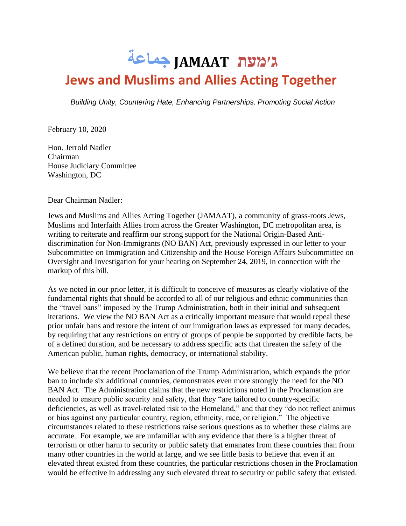## **ג׳מעת JAMAAT جماعة Jews and Muslims and Allies Acting Together**

*Building Unity, Countering Hate, Enhancing Partnerships, Promoting Social Action*

February 10, 2020

Hon. Jerrold Nadler Chairman House Judiciary Committee Washington, DC

Dear Chairman Nadler:

Jews and Muslims and Allies Acting Together (JAMAAT), a community of grass-roots Jews, Muslims and Interfaith Allies from across the Greater Washington, DC metropolitan area, is writing to reiterate and reaffirm our strong support for the National Origin-Based Antidiscrimination for Non-Immigrants (NO BAN) Act, previously expressed in our letter to your Subcommittee on Immigration and Citizenship and the House Foreign Affairs Subcommittee on Oversight and Investigation for your hearing on September 24, 2019, in connection with the markup of this bill.

As we noted in our prior letter, it is difficult to conceive of measures as clearly violative of the fundamental rights that should be accorded to all of our religious and ethnic communities than the "travel bans" imposed by the Trump Administration, both in their initial and subsequent iterations. We view the NO BAN Act as a critically important measure that would repeal these prior unfair bans and restore the intent of our immigration laws as expressed for many decades, by requiring that any restrictions on entry of groups of people be supported by credible facts, be of a defined duration, and be necessary to address specific acts that threaten the safety of the American public, human rights, democracy, or international stability.

We believe that the recent Proclamation of the Trump Administration, which expands the prior ban to include six additional countries, demonstrates even more strongly the need for the NO BAN Act. The Administration claims that the new restrictions noted in the Proclamation are needed to ensure public security and safety, that they "are tailored to country-specific deficiencies, as well as travel-related risk to the Homeland," and that they "do not reflect animus or bias against any particular country, region, ethnicity, race, or religion." The objective circumstances related to these restrictions raise serious questions as to whether these claims are accurate. For example, we are unfamiliar with any evidence that there is a higher threat of terrorism or other harm to security or public safety that emanates from these countries than from many other countries in the world at large, and we see little basis to believe that even if an elevated threat existed from these countries, the particular restrictions chosen in the Proclamation would be effective in addressing any such elevated threat to security or public safety that existed.